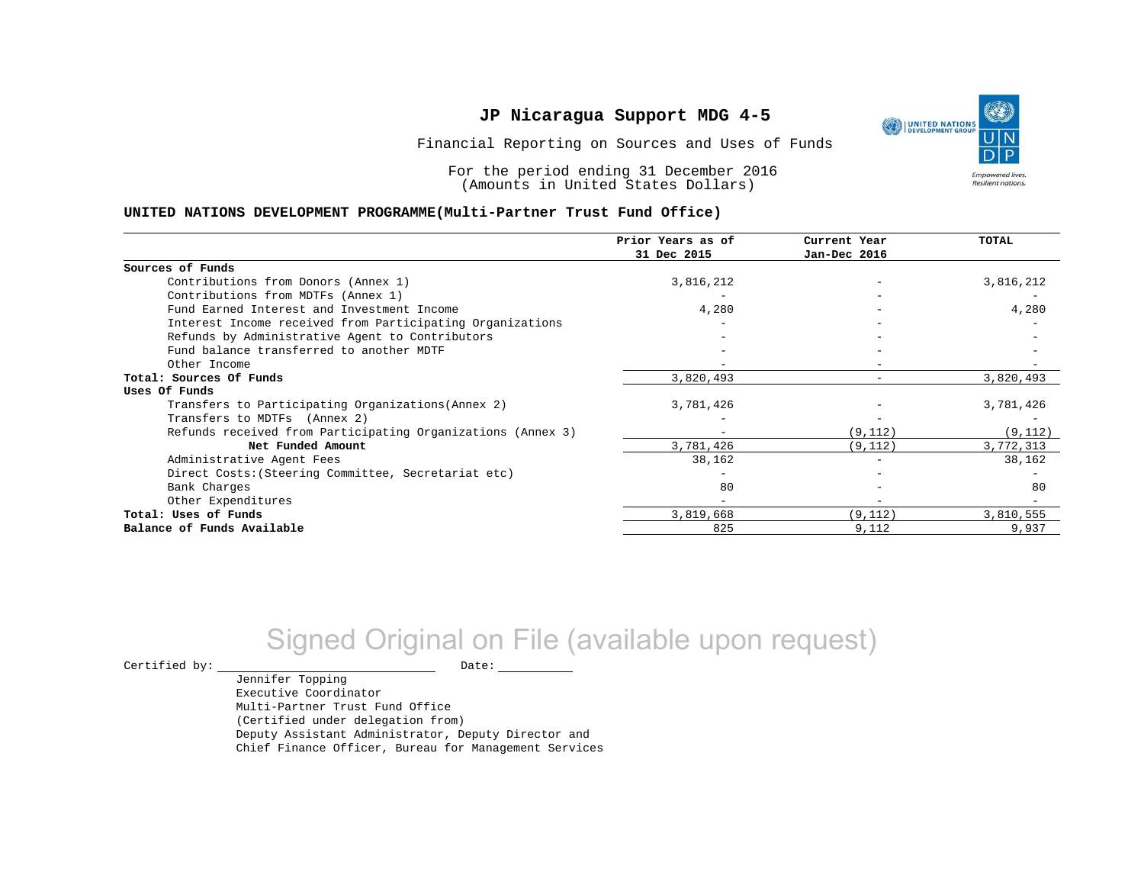١ UNITED NATIONS **Empowered lives** Resilient nations.

Financial Reporting on Sources and Uses of Funds

For the period ending 31 December 2016 (Amounts in United States Dollars)

#### **UNITED NATIONS DEVELOPMENT PROGRAMME(Multi-Partner Trust Fund Office)**

|                                                             | Prior Years as of<br>31 Dec 2015 | Current Year<br>Jan-Dec 2016 | <b>TOTAL</b> |
|-------------------------------------------------------------|----------------------------------|------------------------------|--------------|
|                                                             |                                  |                              |              |
| Sources of Funds                                            |                                  |                              |              |
| Contributions from Donors (Annex 1)                         | 3,816,212                        |                              | 3,816,212    |
| Contributions from MDTFs (Annex 1)                          |                                  |                              |              |
| Fund Earned Interest and Investment Income                  | 4,280                            |                              | 4,280        |
| Interest Income received from Participating Organizations   |                                  |                              |              |
| Refunds by Administrative Agent to Contributors             |                                  |                              |              |
| Fund balance transferred to another MDTF                    |                                  |                              |              |
| Other Income                                                |                                  |                              |              |
| Total: Sources Of Funds                                     | 3,820,493                        |                              | 3,820,493    |
| Uses Of Funds                                               |                                  |                              |              |
| Transfers to Participating Organizations (Annex 2)          | 3,781,426                        |                              | 3,781,426    |
| Transfers to MDTFs (Annex 2)                                |                                  |                              |              |
| Refunds received from Participating Organizations (Annex 3) | $-$                              | (9, 112)                     | (9, 112)     |
| Net Funded Amount                                           | 3,781,426                        | (9, 112)                     | 3,772,313    |
| Administrative Agent Fees                                   | 38,162                           | $\overline{\phantom{0}}$     | 38,162       |
| Direct Costs: (Steering Committee, Secretariat etc)         |                                  |                              |              |
| Bank Charges                                                | 80                               |                              | 80           |
| Other Expenditures                                          |                                  |                              |              |
| Total: Uses of Funds                                        | 3,819,668                        | (9, 112)                     | 3,810,555    |
| Balance of Funds Available                                  | 825                              | 9,112                        | 9,937        |

# Signed Original on File (available upon request)

 $\begin{picture}(180,180)(0,0) \put(0,0){\vector(1,0){180}} \put(15,0){\vector(1,0){180}} \put(15,0){\vector(1,0){180}} \put(15,0){\vector(1,0){180}} \put(15,0){\vector(1,0){180}} \put(15,0){\vector(1,0){180}} \put(15,0){\vector(1,0){180}} \put(15,0){\vector(1,0){180}} \put(15,0){\vector(1,0){180}} \put(15,0){\vector(1,0){180}} \put(15,0){\vector(1,0$ 

Jennifer Topping Executive Coordinator Multi-Partner Trust Fund Office (Certified under delegation from) Deputy Assistant Administrator, Deputy Director and Chief Finance Officer, Bureau for Management Services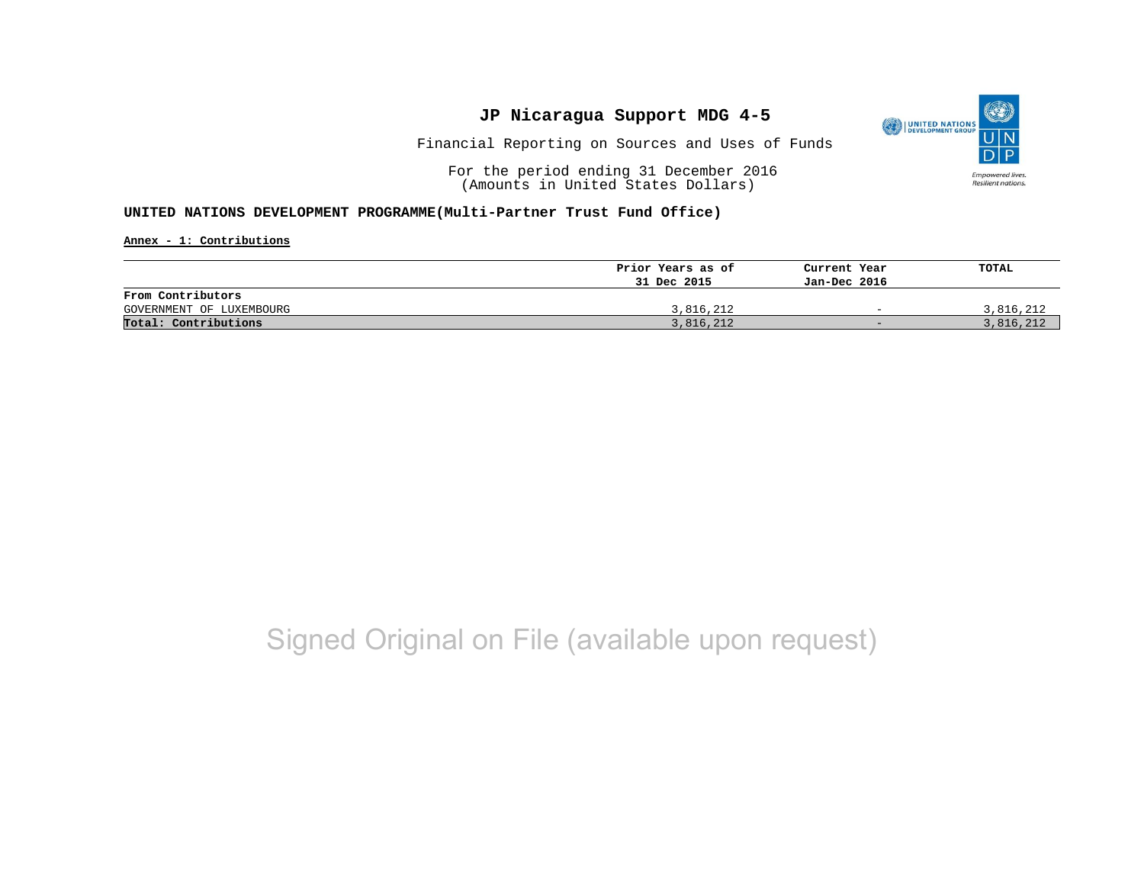

Financial Reporting on Sources and Uses of Funds

For the period ending 31 December 2016 (Amounts in United States Dollars)

#### **UNITED NATIONS DEVELOPMENT PROGRAMME(Multi-Partner Trust Fund Office)**

**Annex - 1: Contributions**

|                          | Prior Years as of | Current Year             | TOTAL     |
|--------------------------|-------------------|--------------------------|-----------|
|                          | 31 Dec 2015       | Jan-Dec 2016             |           |
| From Contributors        |                   |                          |           |
| GOVERNMENT OF LUXEMBOURG | 3,816,212         | $\overline{\phantom{0}}$ | 3,816,212 |
| Total: Contributions     | 3,816,212         | $-$                      | 3,816,212 |

## Signed Original on File (available upon request)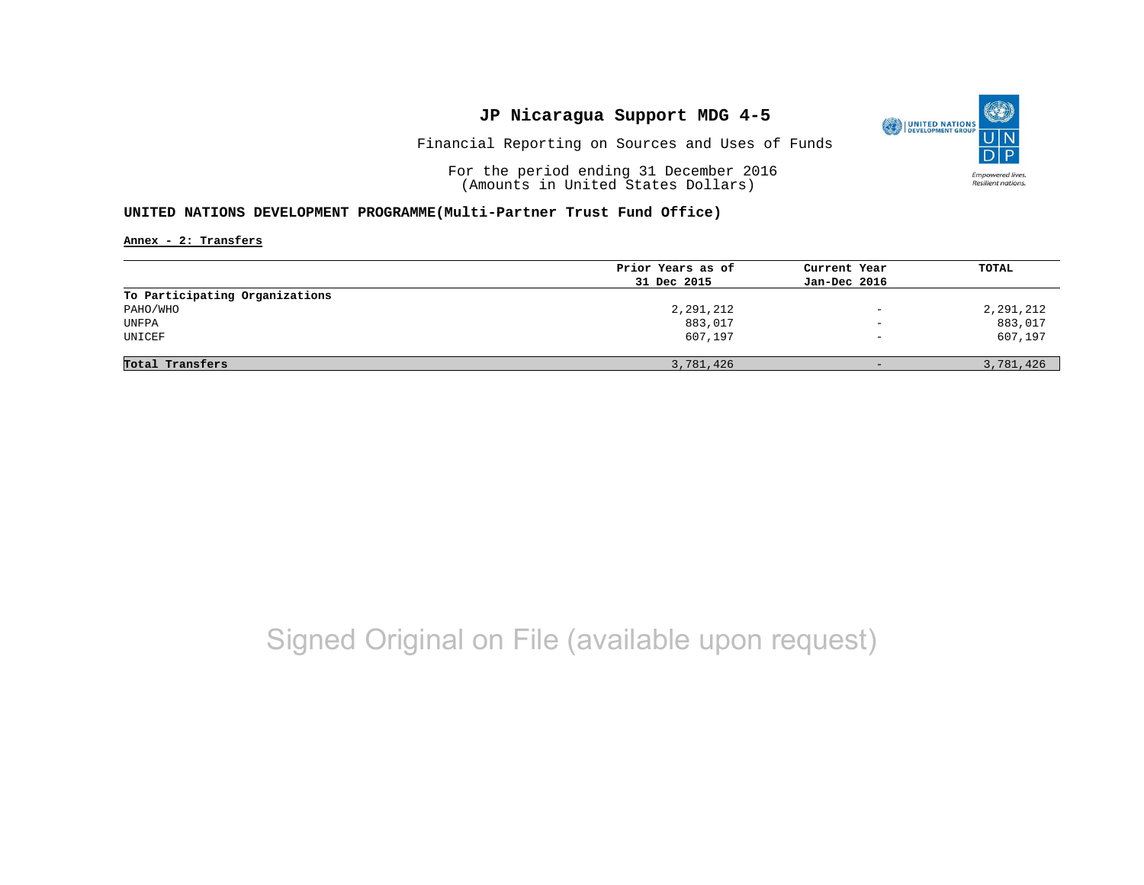

Financial Reporting on Sources and Uses of Funds

For the period ending 31 December 2016 (Amounts in United States Dollars)

#### **UNITED NATIONS DEVELOPMENT PROGRAMME(Multi-Partner Trust Fund Office)**

**Annex - 2: Transfers**

| Prior Years as of<br>31 Dec 2015 | Current Year<br>Jan-Dec 2016 | TOTAL     |
|----------------------------------|------------------------------|-----------|
|                                  |                              |           |
|                                  |                              |           |
|                                  |                              |           |
| 2,291,212                        | $\qquad \qquad -$            | 2,291,212 |
| 883,017                          | $\overline{\phantom{0}}$     | 883,017   |
| 607,197                          | $\overline{\phantom{0}}$     | 607,197   |
|                                  | $-$                          | 3,781,426 |
|                                  | 3,781,426                    |           |

## Signed Original on File (available upon request)